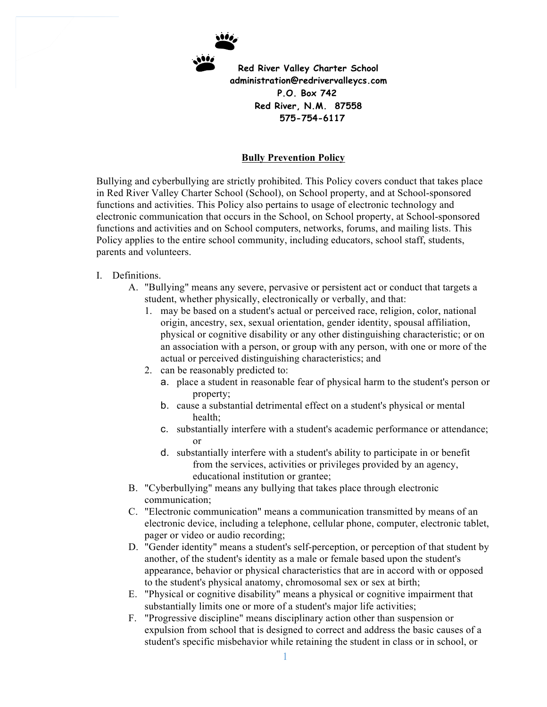

 **575-754-6117**

## **Bully Prevention Policy**

Bullying and cyberbullying are strictly prohibited. This Policy covers conduct that takes place in Red River Valley Charter School (School), on School property, and at School-sponsored functions and activities. This Policy also pertains to usage of electronic technology and electronic communication that occurs in the School, on School property, at School-sponsored functions and activities and on School computers, networks, forums, and mailing lists. This Policy applies to the entire school community, including educators, school staff, students, parents and volunteers.

## I. Definitions.

- A. "Bullying" means any severe, pervasive or persistent act or conduct that targets a student, whether physically, electronically or verbally, and that:
	- 1. may be based on a student's actual or perceived race, religion, color, national origin, ancestry, sex, sexual orientation, gender identity, spousal affiliation, physical or cognitive disability or any other distinguishing characteristic; or on an association with a person, or group with any person, with one or more of the actual or perceived distinguishing characteristics; and
	- 2. can be reasonably predicted to:
		- a. place a student in reasonable fear of physical harm to the student's person or property;
		- b. cause a substantial detrimental effect on a student's physical or mental health;
		- c. substantially interfere with a student's academic performance or attendance; or
		- d. substantially interfere with a student's ability to participate in or benefit from the services, activities or privileges provided by an agency, educational institution or grantee;
- B. "Cyberbullying" means any bullying that takes place through electronic communication;
- C. "Electronic communication" means a communication transmitted by means of an electronic device, including a telephone, cellular phone, computer, electronic tablet, pager or video or audio recording;
- D. "Gender identity" means a student's self-perception, or perception of that student by another, of the student's identity as a male or female based upon the student's appearance, behavior or physical characteristics that are in accord with or opposed to the student's physical anatomy, chromosomal sex or sex at birth;
- E. "Physical or cognitive disability" means a physical or cognitive impairment that substantially limits one or more of a student's major life activities;
- F. "Progressive discipline" means disciplinary action other than suspension or expulsion from school that is designed to correct and address the basic causes of a student's specific misbehavior while retaining the student in class or in school, or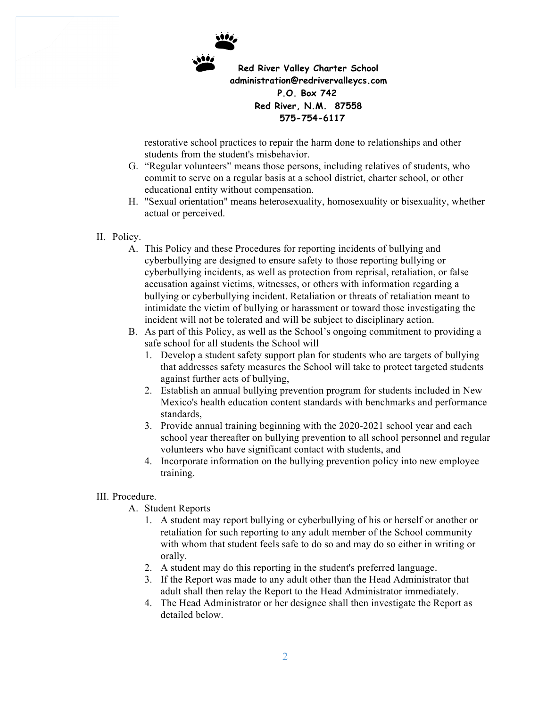

restorative school practices to repair the harm done to relationships and other students from the student's misbehavior.

- G. "Regular volunteers" means those persons, including relatives of students, who commit to serve on a regular basis at a school district, charter school, or other educational entity without compensation.
- H. "Sexual orientation" means heterosexuality, homosexuality or bisexuality, whether actual or perceived.
- II. Policy.
	- A. This Policy and these Procedures for reporting incidents of bullying and cyberbullying are designed to ensure safety to those reporting bullying or cyberbullying incidents, as well as protection from reprisal, retaliation, or false accusation against victims, witnesses, or others with information regarding a bullying or cyberbullying incident. Retaliation or threats of retaliation meant to intimidate the victim of bullying or harassment or toward those investigating the incident will not be tolerated and will be subject to disciplinary action.
	- B. As part of this Policy, as well as the School's ongoing commitment to providing a safe school for all students the School will
		- 1. Develop a student safety support plan for students who are targets of bullying that addresses safety measures the School will take to protect targeted students against further acts of bullying,
		- 2. Establish an annual bullying prevention program for students included in New Mexico's health education content standards with benchmarks and performance standards,
		- 3. Provide annual training beginning with the 2020-2021 school year and each school year thereafter on bullying prevention to all school personnel and regular volunteers who have significant contact with students, and
		- 4. Incorporate information on the bullying prevention policy into new employee training.

## III. Procedure.

- A. Student Reports
	- 1. A student may report bullying or cyberbullying of his or herself or another or retaliation for such reporting to any adult member of the School community with whom that student feels safe to do so and may do so either in writing or orally.
	- 2. A student may do this reporting in the student's preferred language.
	- 3. If the Report was made to any adult other than the Head Administrator that adult shall then relay the Report to the Head Administrator immediately.
	- 4. The Head Administrator or her designee shall then investigate the Report as detailed below.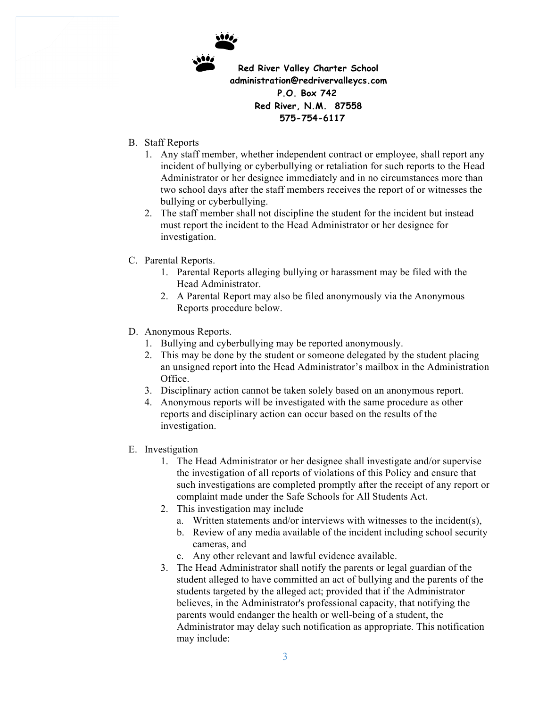

- B. Staff Reports
	- 1. Any staff member, whether independent contract or employee, shall report any incident of bullying or cyberbullying or retaliation for such reports to the Head Administrator or her designee immediately and in no circumstances more than two school days after the staff members receives the report of or witnesses the bullying or cyberbullying.
	- 2. The staff member shall not discipline the student for the incident but instead must report the incident to the Head Administrator or her designee for investigation.
- C. Parental Reports.
	- 1. Parental Reports alleging bullying or harassment may be filed with the Head Administrator.
	- 2. A Parental Report may also be filed anonymously via the Anonymous Reports procedure below.
- D. Anonymous Reports.
	- 1. Bullying and cyberbullying may be reported anonymously.
	- 2. This may be done by the student or someone delegated by the student placing an unsigned report into the Head Administrator's mailbox in the Administration Office.
	- 3. Disciplinary action cannot be taken solely based on an anonymous report.
	- 4. Anonymous reports will be investigated with the same procedure as other reports and disciplinary action can occur based on the results of the investigation.
- E. Investigation
	- 1. The Head Administrator or her designee shall investigate and/or supervise the investigation of all reports of violations of this Policy and ensure that such investigations are completed promptly after the receipt of any report or complaint made under the Safe Schools for All Students Act.
	- 2. This investigation may include
		- a. Written statements and/or interviews with witnesses to the incident(s),
		- b. Review of any media available of the incident including school security cameras, and
		- c. Any other relevant and lawful evidence available.
	- 3. The Head Administrator shall notify the parents or legal guardian of the student alleged to have committed an act of bullying and the parents of the students targeted by the alleged act; provided that if the Administrator believes, in the Administrator's professional capacity, that notifying the parents would endanger the health or well-being of a student, the Administrator may delay such notification as appropriate. This notification may include: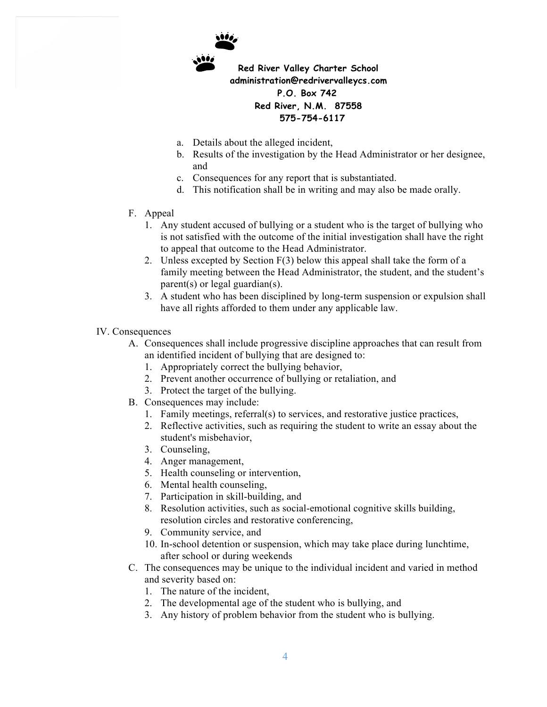

- a. Details about the alleged incident,
- b. Results of the investigation by the Head Administrator or her designee, and
- c. Consequences for any report that is substantiated.
- d. This notification shall be in writing and may also be made orally.
- F. Appeal
	- 1. Any student accused of bullying or a student who is the target of bullying who is not satisfied with the outcome of the initial investigation shall have the right to appeal that outcome to the Head Administrator.
	- 2. Unless excepted by Section F(3) below this appeal shall take the form of a family meeting between the Head Administrator, the student, and the student's parent(s) or legal guardian(s).
	- 3. A student who has been disciplined by long-term suspension or expulsion shall have all rights afforded to them under any applicable law.
- IV. Consequences
	- A. Consequences shall include progressive discipline approaches that can result from an identified incident of bullying that are designed to:
		- 1. Appropriately correct the bullying behavior,
		- 2. Prevent another occurrence of bullying or retaliation, and
		- 3. Protect the target of the bullying.
	- B. Consequences may include:
		- 1. Family meetings, referral(s) to services, and restorative justice practices,
		- 2. Reflective activities, such as requiring the student to write an essay about the student's misbehavior,
		- 3. Counseling,
		- 4. Anger management,
		- 5. Health counseling or intervention,
		- 6. Mental health counseling,
		- 7. Participation in skill-building, and
		- 8. Resolution activities, such as social-emotional cognitive skills building, resolution circles and restorative conferencing,
		- 9. Community service, and
		- 10. In-school detention or suspension, which may take place during lunchtime, after school or during weekends
	- C. The consequences may be unique to the individual incident and varied in method and severity based on:
		- 1. The nature of the incident,
		- 2. The developmental age of the student who is bullying, and
		- 3. Any history of problem behavior from the student who is bullying.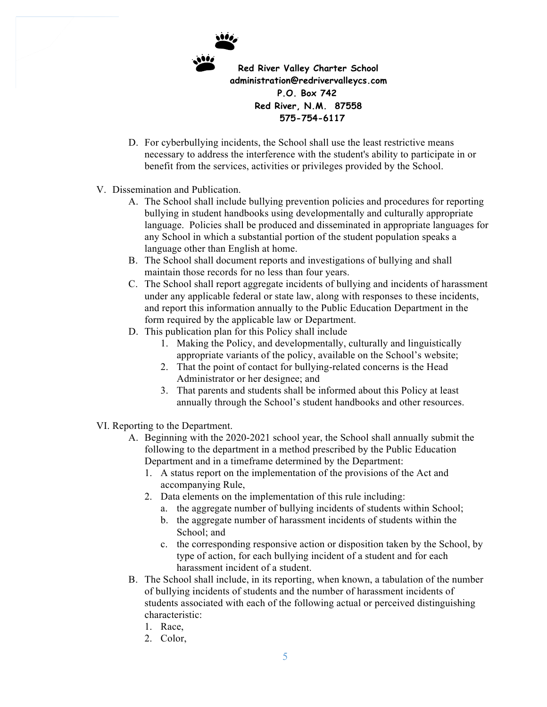

- D. For cyberbullying incidents, the School shall use the least restrictive means necessary to address the interference with the student's ability to participate in or benefit from the services, activities or privileges provided by the School.
- V. Dissemination and Publication.
	- A. The School shall include bullying prevention policies and procedures for reporting bullying in student handbooks using developmentally and culturally appropriate language. Policies shall be produced and disseminated in appropriate languages for any School in which a substantial portion of the student population speaks a language other than English at home.
	- B. The School shall document reports and investigations of bullying and shall maintain those records for no less than four years.
	- C. The School shall report aggregate incidents of bullying and incidents of harassment under any applicable federal or state law, along with responses to these incidents, and report this information annually to the Public Education Department in the form required by the applicable law or Department.
	- D. This publication plan for this Policy shall include
		- 1. Making the Policy, and developmentally, culturally and linguistically appropriate variants of the policy, available on the School's website;
		- 2. That the point of contact for bullying-related concerns is the Head Administrator or her designee; and
		- 3. That parents and students shall be informed about this Policy at least annually through the School's student handbooks and other resources.
- VI. Reporting to the Department.
	- A. Beginning with the 2020-2021 school year, the School shall annually submit the following to the department in a method prescribed by the Public Education Department and in a timeframe determined by the Department:
		- 1. A status report on the implementation of the provisions of the Act and accompanying Rule,
		- 2. Data elements on the implementation of this rule including:
			- a. the aggregate number of bullying incidents of students within School;
			- b. the aggregate number of harassment incidents of students within the School; and
			- c. the corresponding responsive action or disposition taken by the School, by type of action, for each bullying incident of a student and for each harassment incident of a student.
	- B. The School shall include, in its reporting, when known, a tabulation of the number of bullying incidents of students and the number of harassment incidents of students associated with each of the following actual or perceived distinguishing characteristic:
		- 1. Race,
		- 2. Color,